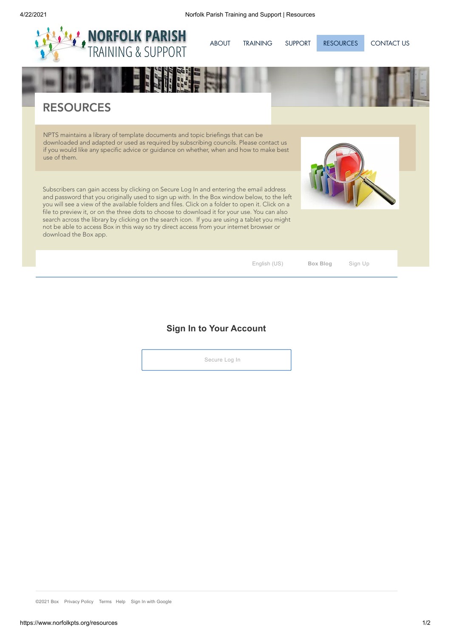

Subscribers can gain access by clicking on Secure Log In and entering the email address and password that you originally used to sign up with. In the Box window below, to the left you will see a view of the available folders and files. Click on a folder to open it. Click on a file to preview it, or on the three dots to choose to download it for your use. You can also search across the library by clicking on the search icon. If you are using a tablet you might not be able to access Box in this way so try direct access from your internet browser or download the Box app.

English (US) **Box Blog** [Sign](https://www.box.com/pricing) Up

**Sign In to Your Account**

Secure Log In

©2021 Box Privacy Policy [Terms](https://app.box.com/legal_text/tos) Help Sign In with Google